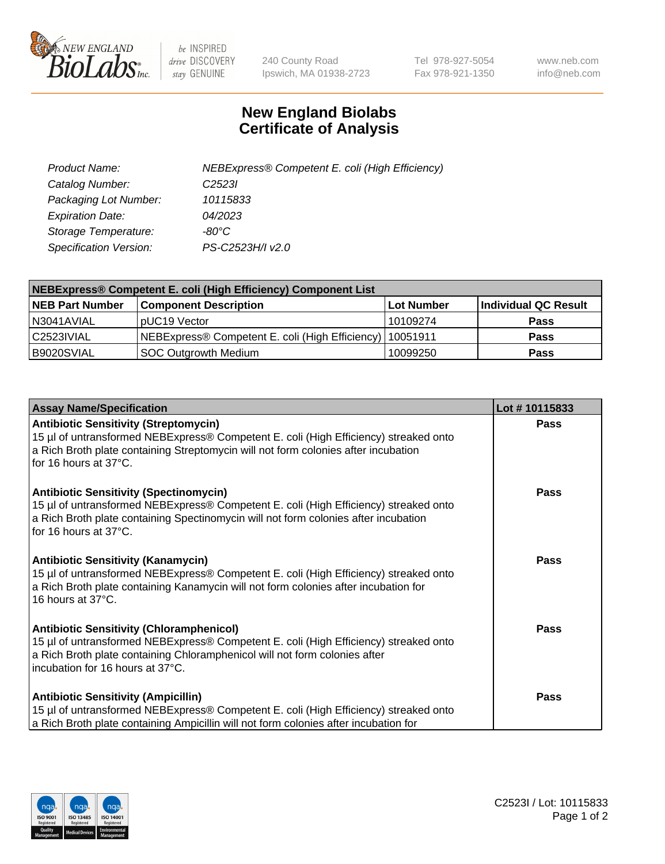

 $be$  INSPIRED drive DISCOVERY stay GENUINE

240 County Road Ipswich, MA 01938-2723 Tel 978-927-5054 Fax 978-921-1350 www.neb.com info@neb.com

## **New England Biolabs Certificate of Analysis**

| Product Name:           | NEBExpress® Competent E. coli (High Efficiency) |
|-------------------------|-------------------------------------------------|
| Catalog Number:         | C <sub>2523</sub>                               |
| Packaging Lot Number:   | 10115833                                        |
| <b>Expiration Date:</b> | 04/2023                                         |
| Storage Temperature:    | -80°C                                           |
| Specification Version:  | PS-C2523H/I v2.0                                |

| <b>NEBExpress® Competent E. coli (High Efficiency) Component List</b> |                                                            |            |                      |  |
|-----------------------------------------------------------------------|------------------------------------------------------------|------------|----------------------|--|
| <b>NEB Part Number</b>                                                | <b>Component Description</b>                               | Lot Number | Individual QC Result |  |
| N3041AVIAL                                                            | pUC19 Vector                                               | 10109274   | <b>Pass</b>          |  |
| C2523IVIAL                                                            | NEBExpress® Competent E. coli (High Efficiency)   10051911 |            | <b>Pass</b>          |  |
| B9020SVIAL                                                            | <b>SOC Outgrowth Medium</b>                                | 10099250   | <b>Pass</b>          |  |

| <b>Assay Name/Specification</b>                                                                                                                                                                                                                           | Lot #10115833 |
|-----------------------------------------------------------------------------------------------------------------------------------------------------------------------------------------------------------------------------------------------------------|---------------|
| <b>Antibiotic Sensitivity (Streptomycin)</b><br>15 µl of untransformed NEBExpress® Competent E. coli (High Efficiency) streaked onto<br>a Rich Broth plate containing Streptomycin will not form colonies after incubation<br>for 16 hours at 37°C.       | <b>Pass</b>   |
| <b>Antibiotic Sensitivity (Spectinomycin)</b><br>15 µl of untransformed NEBExpress® Competent E. coli (High Efficiency) streaked onto<br>a Rich Broth plate containing Spectinomycin will not form colonies after incubation<br>for 16 hours at 37°C.     | Pass          |
| Antibiotic Sensitivity (Kanamycin)<br>15 µl of untransformed NEBExpress® Competent E. coli (High Efficiency) streaked onto<br>a Rich Broth plate containing Kanamycin will not form colonies after incubation for<br>16 hours at 37°C.                    | Pass          |
| <b>Antibiotic Sensitivity (Chloramphenicol)</b><br>15 µl of untransformed NEBExpress® Competent E. coli (High Efficiency) streaked onto<br>a Rich Broth plate containing Chloramphenicol will not form colonies after<br>incubation for 16 hours at 37°C. | <b>Pass</b>   |
| <b>Antibiotic Sensitivity (Ampicillin)</b><br>15 µl of untransformed NEBExpress® Competent E. coli (High Efficiency) streaked onto<br>a Rich Broth plate containing Ampicillin will not form colonies after incubation for                                | Pass          |